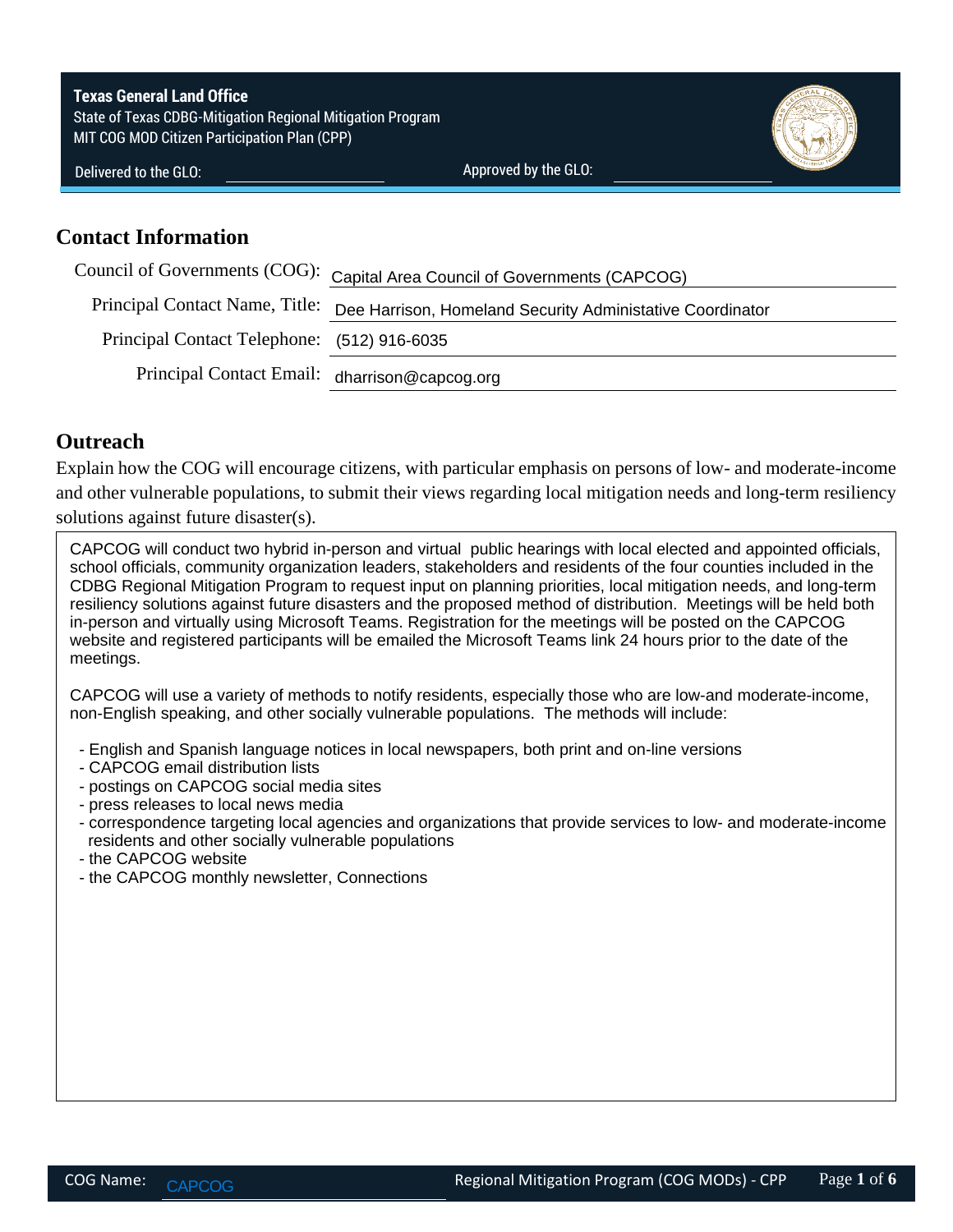**Texas General Land Office** State of Texas CDBG-Mitigation Regional Mitigation Program MIT COG MOD Citizen Participation Plan (CPP)



Delivered to the GLO:

Approved by the GLO:

### **Contact Information**

|                                               | Council of Governments (COG): Capital Area Council of Governments (CAPCOG)               |  |  |  |
|-----------------------------------------------|------------------------------------------------------------------------------------------|--|--|--|
|                                               | Principal Contact Name, Title: Dee Harrison, Homeland Security Administative Coordinator |  |  |  |
| Principal Contact Telephone: (512) 916-6035   |                                                                                          |  |  |  |
| Principal Contact Email: dharrison@capcog.org |                                                                                          |  |  |  |

## **Outreach**

Explain how the COG will encourage citizens, with particular emphasis on persons of low- and moderate-income and other vulnerable populations, to submit their views regarding local mitigation needs and long-term resiliency solutions against future disaster(s).

CAPCOG will conduct two hybrid in-person and virtual public hearings with local elected and appointed officials, school officials, community organization leaders, stakeholders and residents of the four counties included in the CDBG Regional Mitigation Program to request input on planning priorities, local mitigation needs, and long-term resiliency solutions against future disasters and the proposed method of distribution. Meetings will be held both in-person and virtually using Microsoft Teams. Registration for the meetings will be posted on the CAPCOG website and registered participants will be emailed the Microsoft Teams link 24 hours prior to the date of the meetings.

CAPCOG will use a variety of methods to notify residents, especially those who are low-and moderate-income, non-English speaking, and other socially vulnerable populations. The methods will include:

- English and Spanish language notices in local newspapers, both print and on-line versions
- CAPCOG email distribution lists
- postings on CAPCOG social media sites
- press releases to local news media
- correspondence targeting local agencies and organizations that provide services to low- and moderate-income residents and other socially vulnerable populations
- the CAPCOG website
- the CAPCOG monthly newsletter, Connections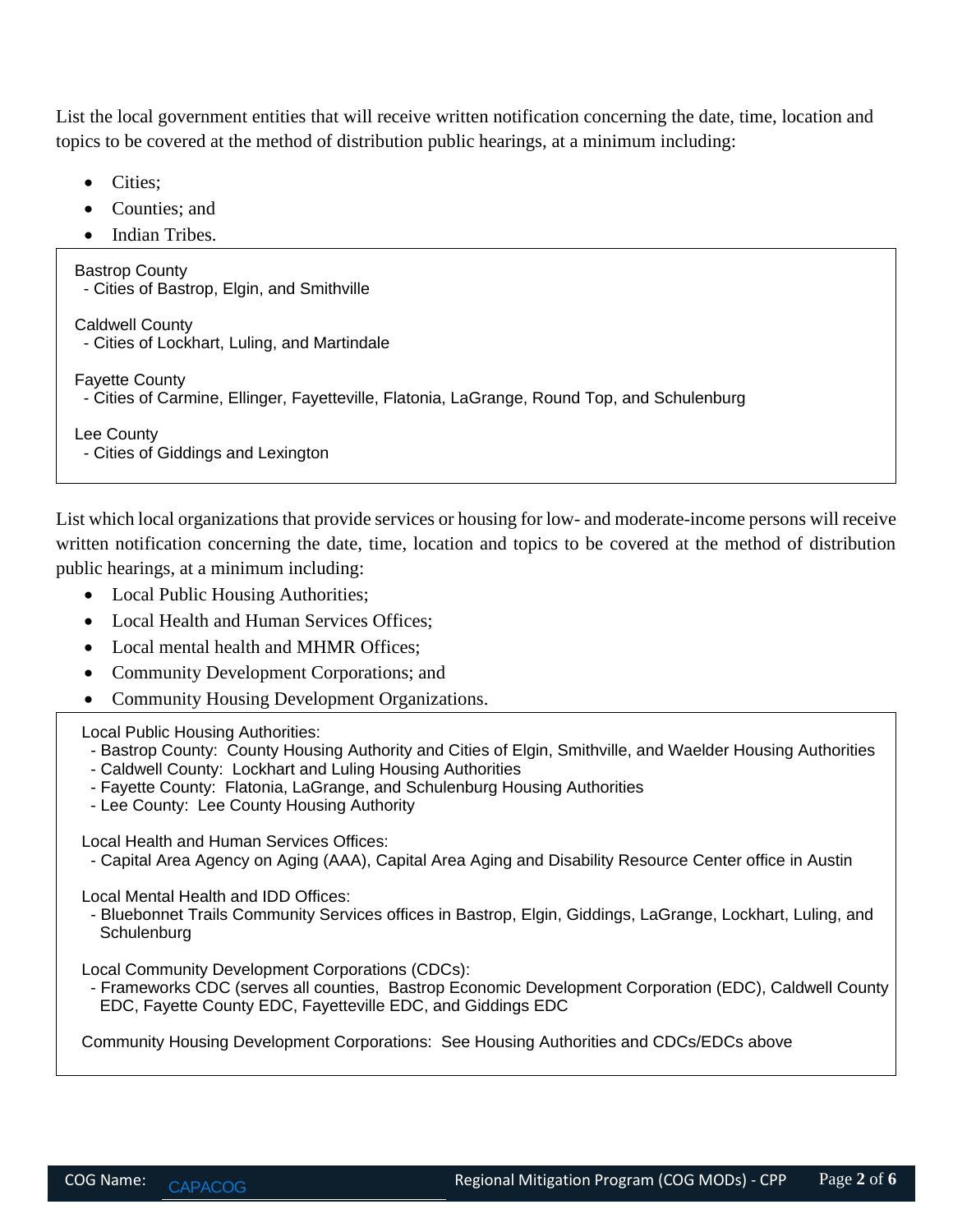List the local government entities that will receive written notification concerning the date, time, location and topics to be covered at the method of distribution public hearings, at a minimum including:

- Cities;
- Counties; and
- Indian Tribes.

Bastrop County - Cities of Bastrop, Elgin, and Smithville

Caldwell County

- Cities of Lockhart, Luling, and Martindale

Fayette County

- Cities of Carmine, Ellinger, Fayetteville, Flatonia, LaGrange, Round Top, and Schulenburg

Lee County

- Cities of Giddings and Lexington

List which local organizations that provide services or housing for low- and moderate-income persons will receive written notification concerning the date, time, location and topics to be covered at the method of distribution public hearings, at a minimum including:

- Local Public Housing Authorities;
- Local Health and Human Services Offices:
- Local mental health and MHMR Offices;
- Community Development Corporations; and
- Community Housing Development Organizations.

Local Public Housing Authorities:

- Bastrop County: County Housing Authority and Cities of Elgin, Smithville, and Waelder Housing Authorities
- Caldwell County: Lockhart and Luling Housing Authorities
- Fayette County: Flatonia, LaGrange, and Schulenburg Housing Authorities
- Lee County: Lee County Housing Authority

Local Health and Human Services Offices:

- Capital Area Agency on Aging (AAA), Capital Area Aging and Disability Resource Center office in Austin

Local Mental Health and IDD Offices:

 - Bluebonnet Trails Community Services offices in Bastrop, Elgin, Giddings, LaGrange, Lockhart, Luling, and **Schulenburg** 

Local Community Development Corporations (CDCs):

 - Frameworks CDC (serves all counties, Bastrop Economic Development Corporation (EDC), Caldwell County EDC, Fayette County EDC, Fayetteville EDC, and Giddings EDC

Community Housing Development Corporations: See Housing Authorities and CDCs/EDCs above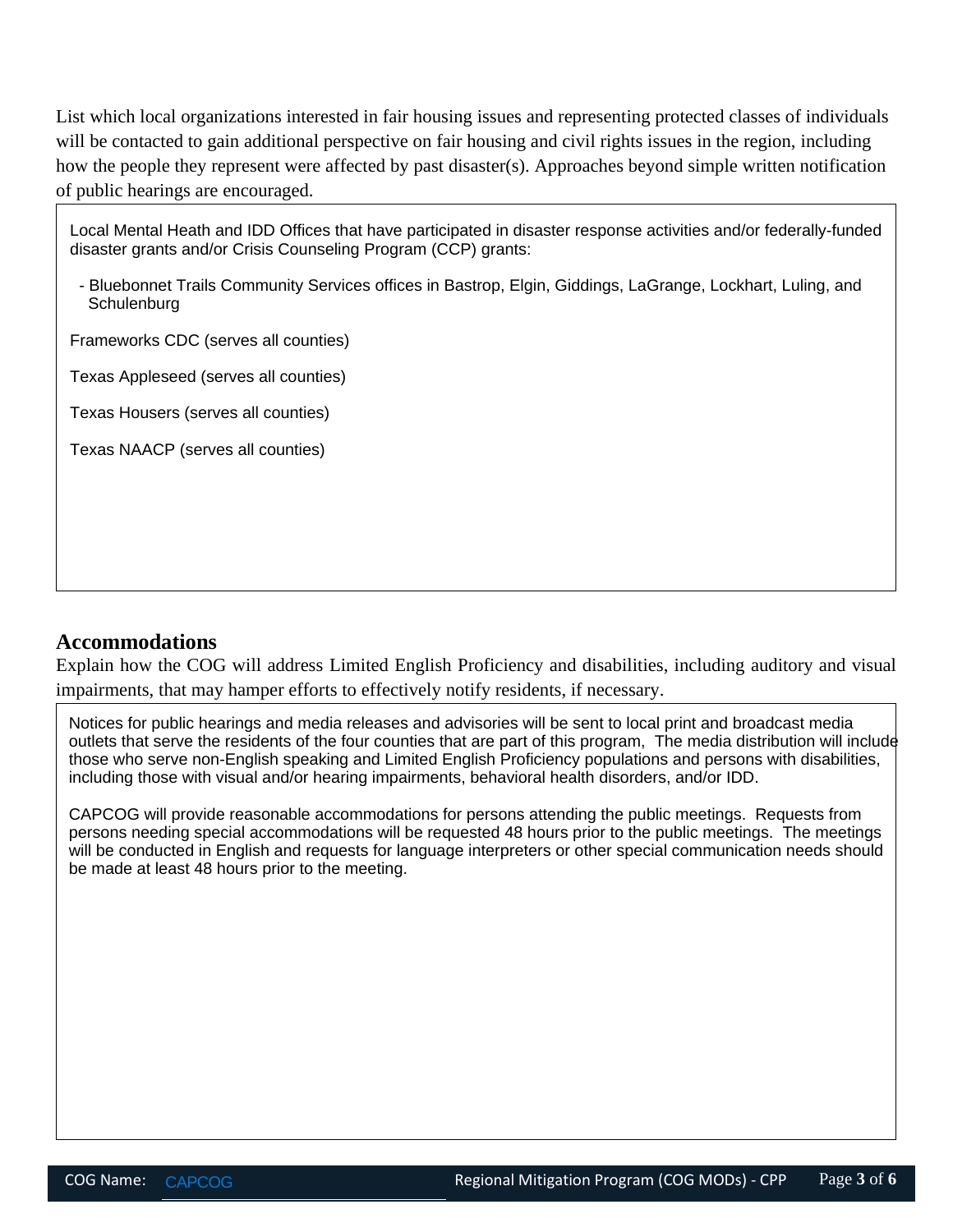List which local organizations interested in fair housing issues and representing protected classes of individuals will be contacted to gain additional perspective on fair housing and civil rights issues in the region, including how the people they represent were affected by past disaster(s). Approaches beyond simple written notification of public hearings are encouraged.

Local Mental Heath and IDD Offices that have participated in disaster response activities and/or federally-funded disaster grants and/or Crisis Counseling Program (CCP) grants:

 - Bluebonnet Trails Community Services offices in Bastrop, Elgin, Giddings, LaGrange, Lockhart, Luling, and **Schulenburg** 

Frameworks CDC (serves all counties)

Texas Appleseed (serves all counties)

Texas Housers (serves all counties)

Texas NAACP (serves all counties)

#### **Accommodations**

Explain how the COG will address Limited English Proficiency and disabilities, including auditory and visual impairments, that may hamper efforts to effectively notify residents, if necessary.

Notices for public hearings and media releases and advisories will be sent to local print and broadcast media outlets that serve the residents of the four counties that are part of this program, The media distribution will include those who serve non-English speaking and Limited English Proficiency populations and persons with disabilities, including those with visual and/or hearing impairments, behavioral health disorders, and/or IDD.

CAPCOG will provide reasonable accommodations for persons attending the public meetings. Requests from persons needing special accommodations will be requested 48 hours prior to the public meetings. The meetings will be conducted in English and requests for language interpreters or other special communication needs should be made at least 48 hours prior to the meeting.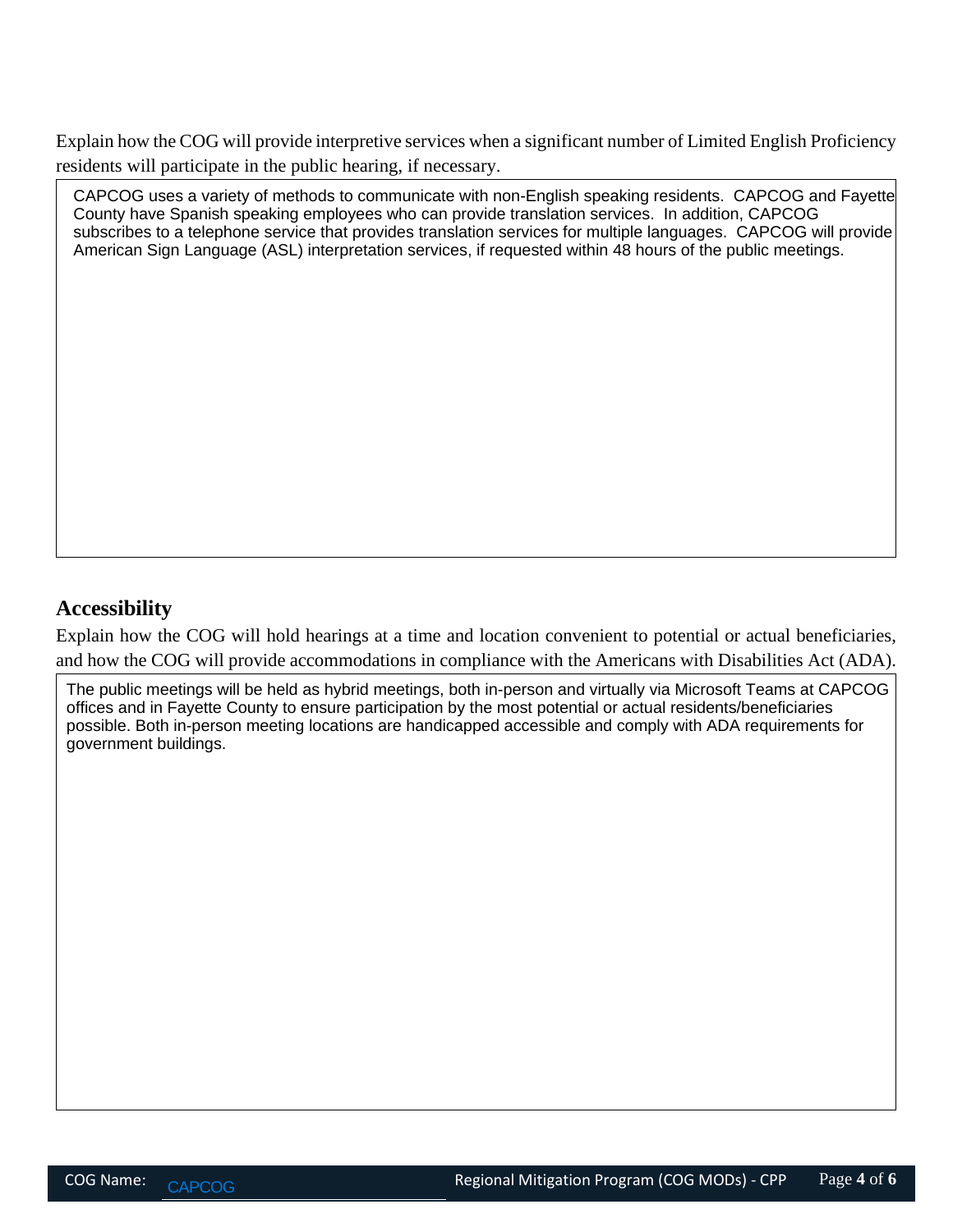Explain how the COG will provide interpretive services when a significant number of Limited English Proficiency residents will participate in the public hearing, if necessary.

CAPCOG uses a variety of methods to communicate with non-English speaking residents. CAPCOG and Fayette County have Spanish speaking employees who can provide translation services. In addition, CAPCOG subscribes to a telephone service that provides translation services for multiple languages. CAPCOG will provide American Sign Language (ASL) interpretation services, if requested within 48 hours of the public meetings.

# **Accessibility**

Explain how the COG will hold hearings at a time and location convenient to potential or actual beneficiaries, and how the COG will provide accommodations in compliance with the Americans with Disabilities Act (ADA).

The public meetings will be held as hybrid meetings, both in-person and virtually via Microsoft Teams at CAPCOG offices and in Fayette County to ensure participation by the most potential or actual residents/beneficiaries possible. Both in-person meeting locations are handicapped accessible and comply with ADA requirements for government buildings.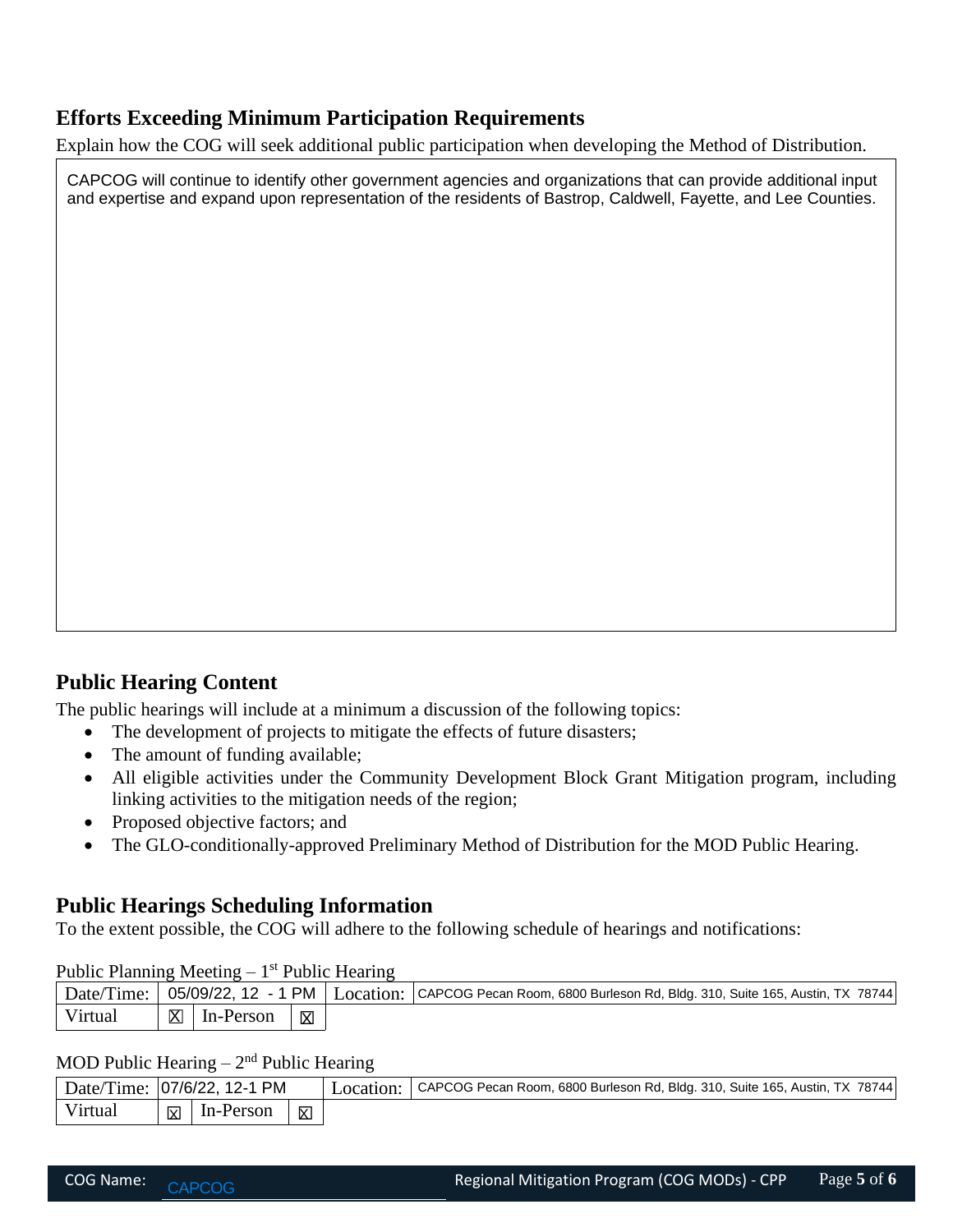# **Efforts Exceeding Minimum Participation Requirements**

Explain how the COG will seek additional public participation when developing the Method of Distribution.

CAPCOG will continue to identify other government agencies and organizations that can provide additional input and expertise and expand upon representation of the residents of Bastrop, Caldwell, Fayette, and Lee Counties.

# **Public Hearing Content**

The public hearings will include at a minimum a discussion of the following topics:

- The development of projects to mitigate the effects of future disasters;
- The amount of funding available;
- All eligible activities under the Community Development Block Grant Mitigation program, including linking activities to the mitigation needs of the region;
- Proposed objective factors; and
- The GLO-conditionally-approved Preliminary Method of Distribution for the MOD Public Hearing.

# **Public Hearings Scheduling Information**

To the extent possible, the COG will adhere to the following schedule of hearings and notifications:

| $r$ upit $r$ raining integring $r$ $r$ rubit realing |    |           |   |                                                                                                                            |  |  |  |  |  |
|------------------------------------------------------|----|-----------|---|----------------------------------------------------------------------------------------------------------------------------|--|--|--|--|--|
|                                                      |    |           |   | Date/Time:   05/09/22, 12 - 1 PM   Location:   CAPCOG Pecan Room, 6800 Burleson Rd, Bldg. 310, Suite 165, Austin, TX 78744 |  |  |  |  |  |
| Virtual                                              | ⊠∣ | In-Person | 図 |                                                                                                                            |  |  |  |  |  |

### Public Planning Meeting  $-1<sup>st</sup>$  Public Hearing

#### MOD Public Hearing  $-2<sup>nd</sup>$  Public Hearing

| Virtual   | In-Person<br>$\mathbb{X}$                | 区         |                                                                             |             |
|-----------|------------------------------------------|-----------|-----------------------------------------------------------------------------|-------------|
|           | MOD Public Hearing $-2nd$ Public Hearing |           |                                                                             |             |
|           | Date/Time: 07/6/22, 12-1 PM              | Location: | CAPCOG Pecan Room, 6800 Burleson Rd, Bldg. 310, Suite 165, Austin, TX 78744 |             |
| Virtual   | In-Person<br>冈                           | X         |                                                                             |             |
|           |                                          |           |                                                                             |             |
| COG Name: | <b>CAPCOG</b>                            |           | Regional Mitigation Program (COG MODs) - CPP                                | Page 5 of 6 |